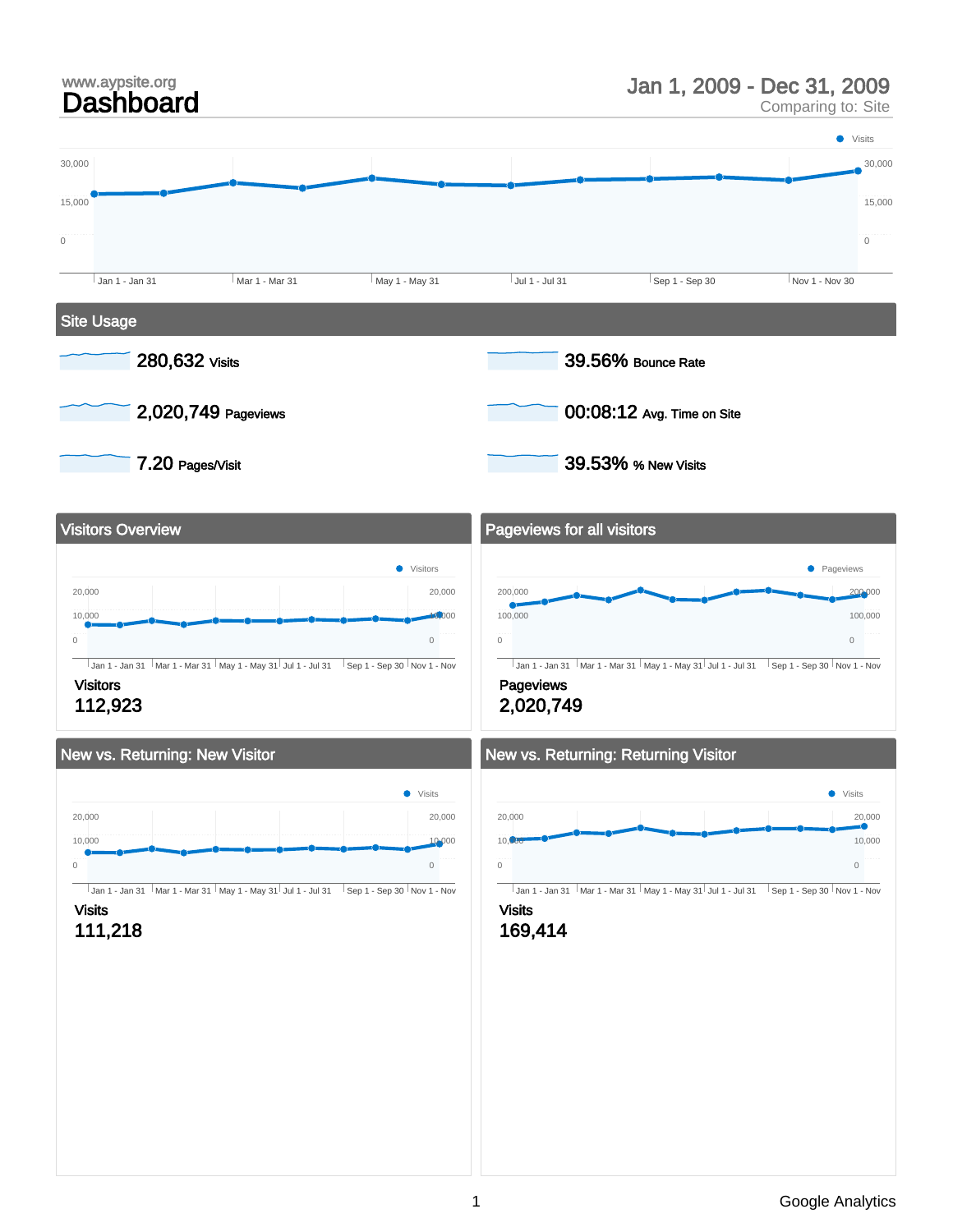# Jan 1, 2009 - Dec 31, 2009

Comparing to: Site

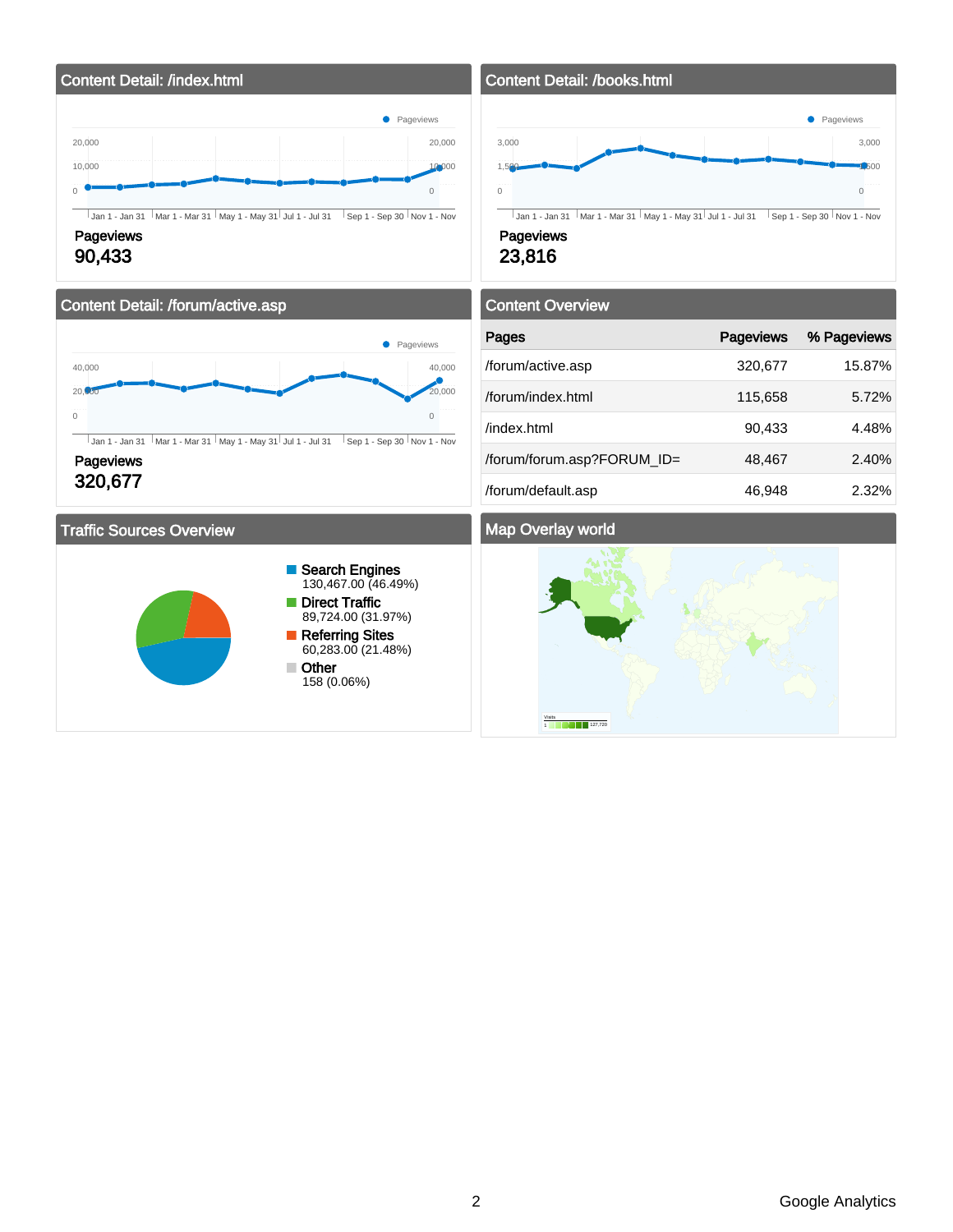

### 90,433

### Content Detail: /forum/active.asp



 $\overline{1}$  Jan 1 - Jan 31  $\overline{1}$  Mar 1 - Mar 31  $\overline{1}$  May 1 - May 31  $\overline{1}$  Jul 1 - Jul 31  $\overline{1}$  Sep 1 - Sep 30  $\overline{1}$  Nov 1 - Nov

### **Pageviews** 320,677

### Traffic Sources Overview



### Content Detail: /books.html



### 23,816

# Content Overview

| Pages                      | <b>Pageviews</b> | % Pageviews |
|----------------------------|------------------|-------------|
| /forum/active.asp          | 320,677          | 15.87%      |
| /forum/index.html          | 115,658          | 5.72%       |
| /index.html                | 90,433           | 4.48%       |
| /forum/forum.asp?FORUM_ID= | 48,467           | 2.40%       |
| /forum/default.asp         | 46,948           | 2.32%       |

### Map Overlay world

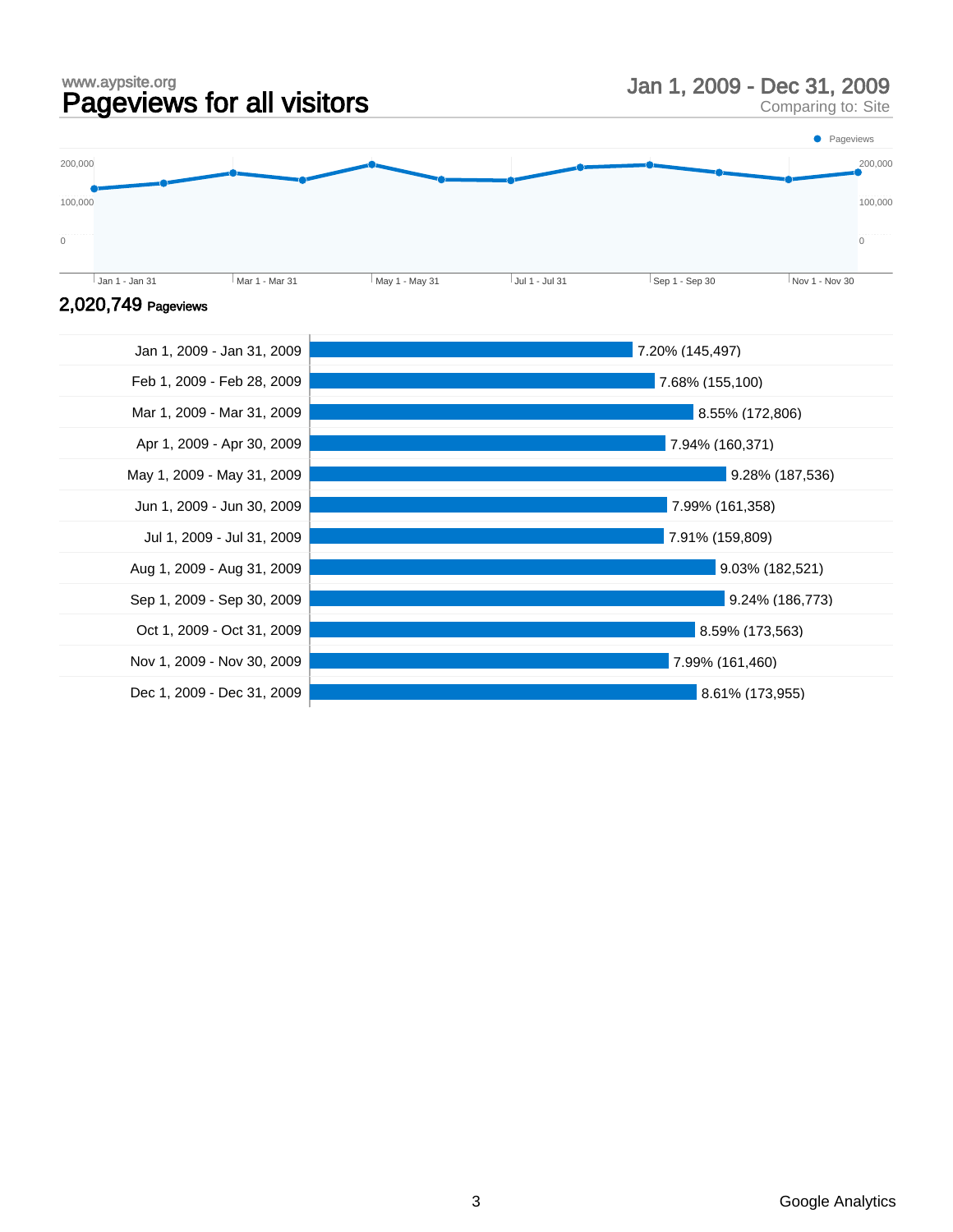### www.aypsite.org www.aypsite.org<br> **Pageviews for all visitors** Man 1, 2009 - Dec 31, 2009<br>
Comparing to: Site

Comparing to: Site



### 2,020,749 Pageviews

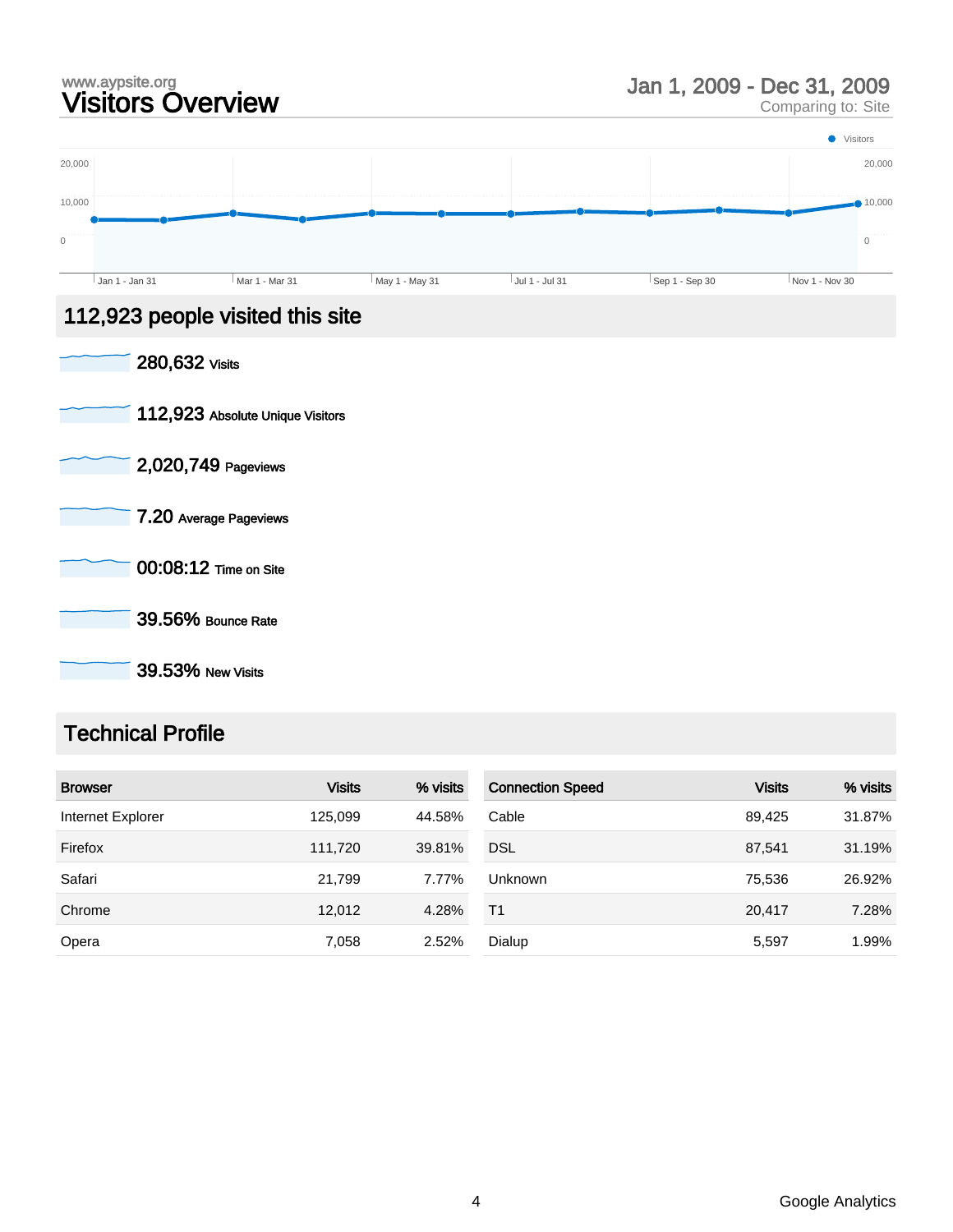# www.aypsite.org<br> **Visitors Overview State State of State Comparing to:** Site **Visitors Overview**

Comparing to: Site



39.53% New Visits

### Technical Profile

| <b>Browser</b>    | <b>Visits</b> | % visits | <b>Connection Speed</b> | <b>Visits</b> | % visits |
|-------------------|---------------|----------|-------------------------|---------------|----------|
| Internet Explorer | 125,099       | 44.58%   | Cable                   | 89.425        | 31.87%   |
| Firefox           | 111,720       | 39.81%   | <b>DSL</b>              | 87.541        | 31.19%   |
| Safari            | 21,799        | 7.77%    | <b>Unknown</b>          | 75,536        | 26.92%   |
| Chrome            | 12,012        | 4.28%    | T <sub>1</sub>          | 20.417        | 7.28%    |
| Opera             | 7,058         | 2.52%    | Dialup                  | 5,597         | 1.99%    |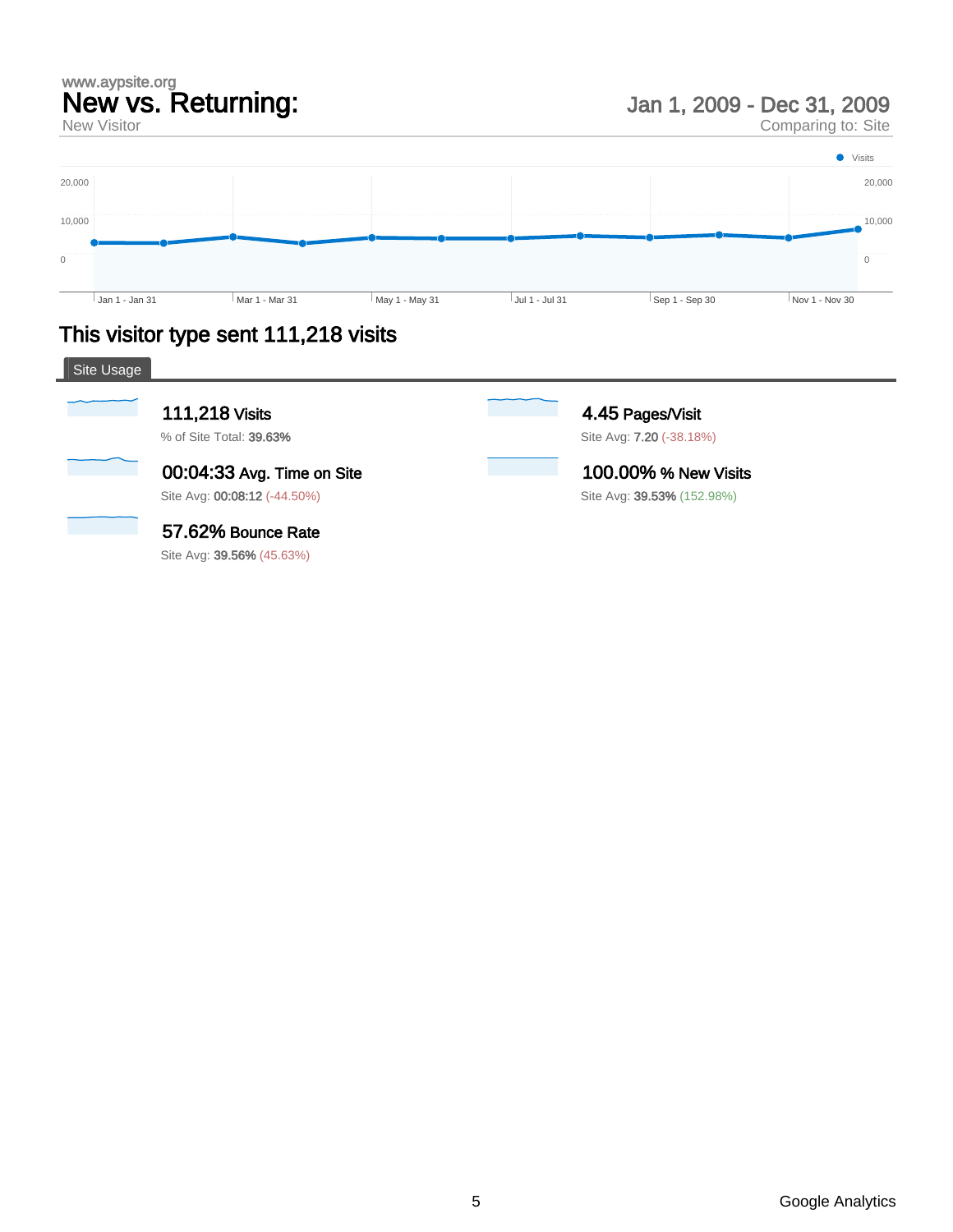## www.aypsite.org New vs. Returning:

New Visitor

Jan 1, 2009 - Dec 31, 2009

Comparing to: Site



# This visitor type sent 111,218 visits

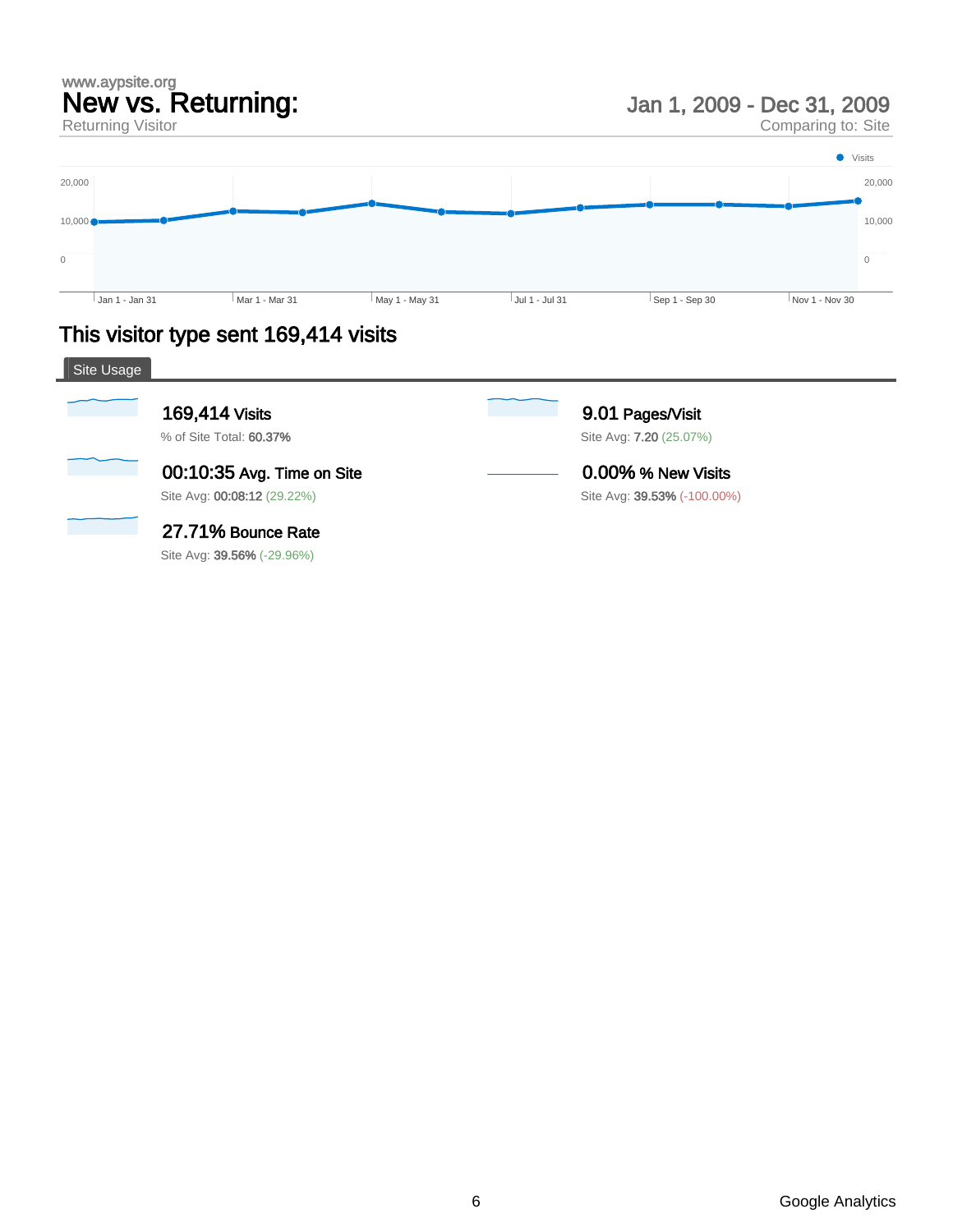# www.aypsite.org New vs. Returning:

Returning Visitor

Jan 1, 2009 - Dec 31, 2009

Comparing to: Site



# This visitor type sent 169,414 visits

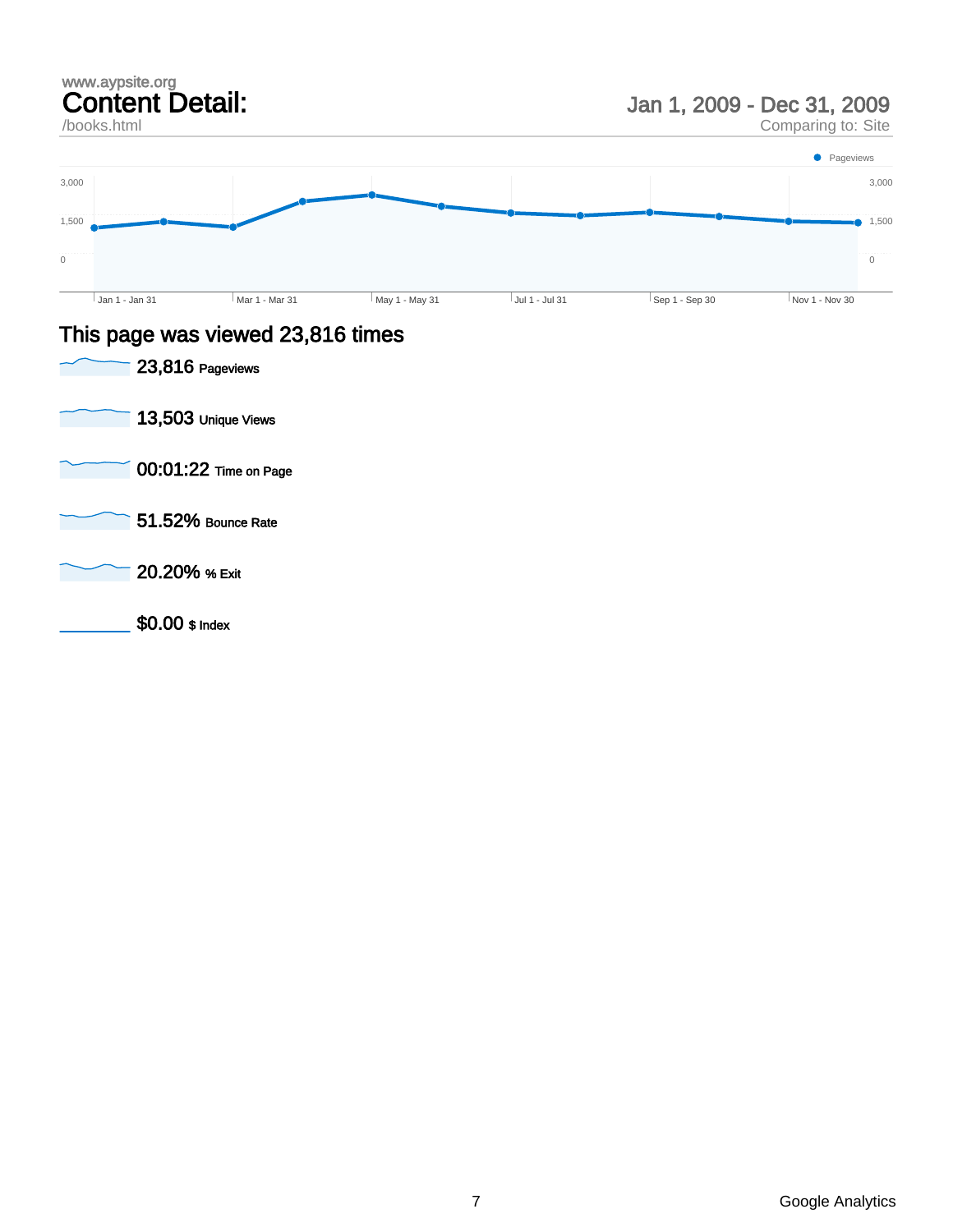

- 00:01:22 Time on Page
- 51.52% Bounce Rate
- 20.20% % Exit
	- \$0.00 \$ Index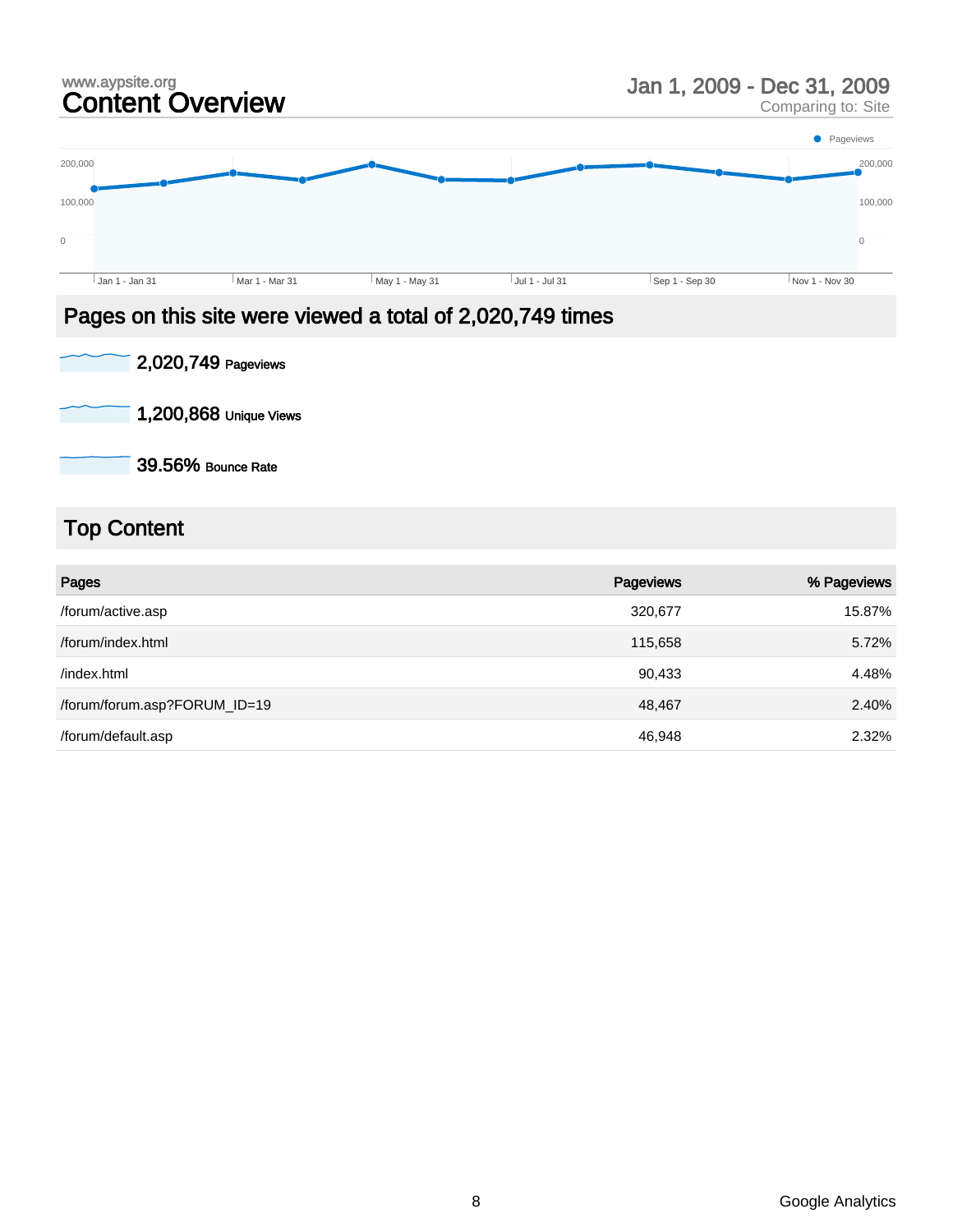# www.aypsite.org<br> **Content Overview State State of State Content Overview State Content** Comparing to: Site

Comparing to: Site



### Pages on this site were viewed a total of 2,020,749 times

| 2,020,749 Pageviews |  |
|---------------------|--|
|                     |  |

1,200,868 Unique Views

39.56% Bounce Rate

# Top Content

| Pages                        | Pageviews | % Pageviews |
|------------------------------|-----------|-------------|
| /forum/active.asp            | 320,677   | 15.87%      |
| /forum/index.html            | 115,658   | 5.72%       |
| /index.html                  | 90,433    | 4.48%       |
| /forum/forum.asp?FORUM_ID=19 | 48,467    | 2.40%       |
| /forum/default.asp           | 46,948    | 2.32%       |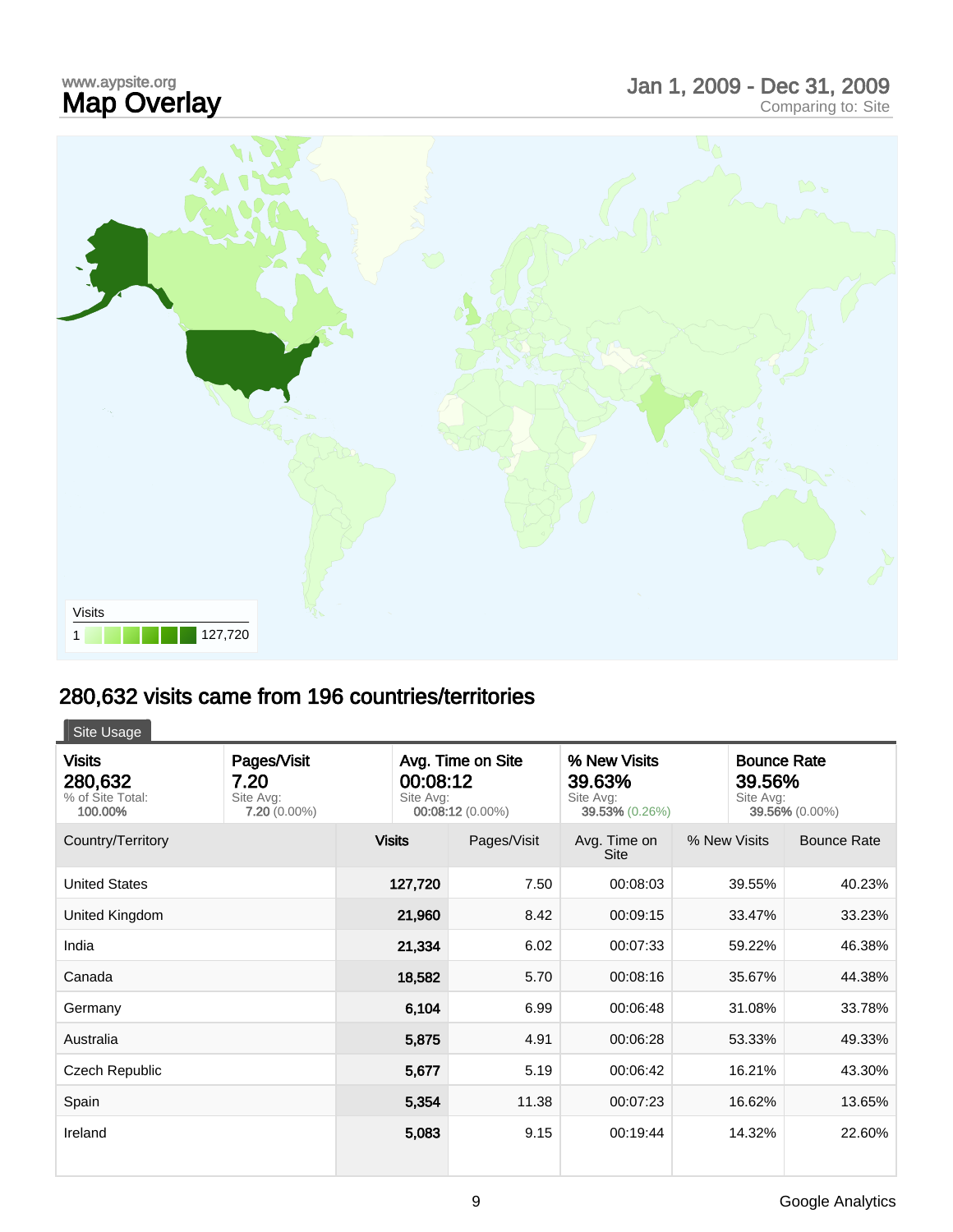# www.aypsite.org<br>**Map Overlay** www.aypsite.org<br> **Map Overlay Care and Science Comparing Comparing to: Site Map Overlay**



# 280,632 visits came from 196 countries/territories

| Site Usage                                              |                                                    |                                                                |             |                                                       |              |                                                             |  |
|---------------------------------------------------------|----------------------------------------------------|----------------------------------------------------------------|-------------|-------------------------------------------------------|--------------|-------------------------------------------------------------|--|
| <b>Visits</b><br>280,632<br>% of Site Total:<br>100.00% | Pages/Visit<br>7.20<br>Site Avg:<br>$7.20(0.00\%)$ | Avg. Time on Site<br>00:08:12<br>Site Avg:<br>00:08:12 (0.00%) |             | % New Visits<br>39.63%<br>Site Avg:<br>39.53% (0.26%) |              | <b>Bounce Rate</b><br>39.56%<br>Site Avg:<br>39.56% (0.00%) |  |
| Country/Territory                                       |                                                    | <b>Visits</b>                                                  | Pages/Visit | Avg. Time on<br><b>Site</b>                           | % New Visits | <b>Bounce Rate</b>                                          |  |
| <b>United States</b>                                    |                                                    | 127,720                                                        | 7.50        | 00:08:03                                              | 39.55%       | 40.23%                                                      |  |
| United Kingdom                                          |                                                    | 21,960                                                         | 8.42        | 00:09:15                                              | 33.47%       | 33.23%                                                      |  |
| India                                                   |                                                    | 21,334                                                         | 6.02        | 00:07:33                                              | 59.22%       | 46.38%                                                      |  |
| Canada                                                  |                                                    | 18,582                                                         | 5.70        | 00:08:16                                              | 35.67%       | 44.38%                                                      |  |
| Germany                                                 |                                                    | 6,104                                                          | 6.99        | 00:06:48                                              | 31.08%       | 33.78%                                                      |  |
| Australia                                               |                                                    | 5,875                                                          | 4.91        | 00:06:28                                              | 53.33%       | 49.33%                                                      |  |
| <b>Czech Republic</b>                                   |                                                    | 5,677                                                          | 5.19        | 00:06:42                                              | 16.21%       | 43.30%                                                      |  |
| Spain                                                   |                                                    | 5,354                                                          | 11.38       | 00:07:23                                              | 16.62%       | 13.65%                                                      |  |
| Ireland                                                 |                                                    | 5,083                                                          | 9.15        | 00:19:44                                              | 14.32%       | 22.60%                                                      |  |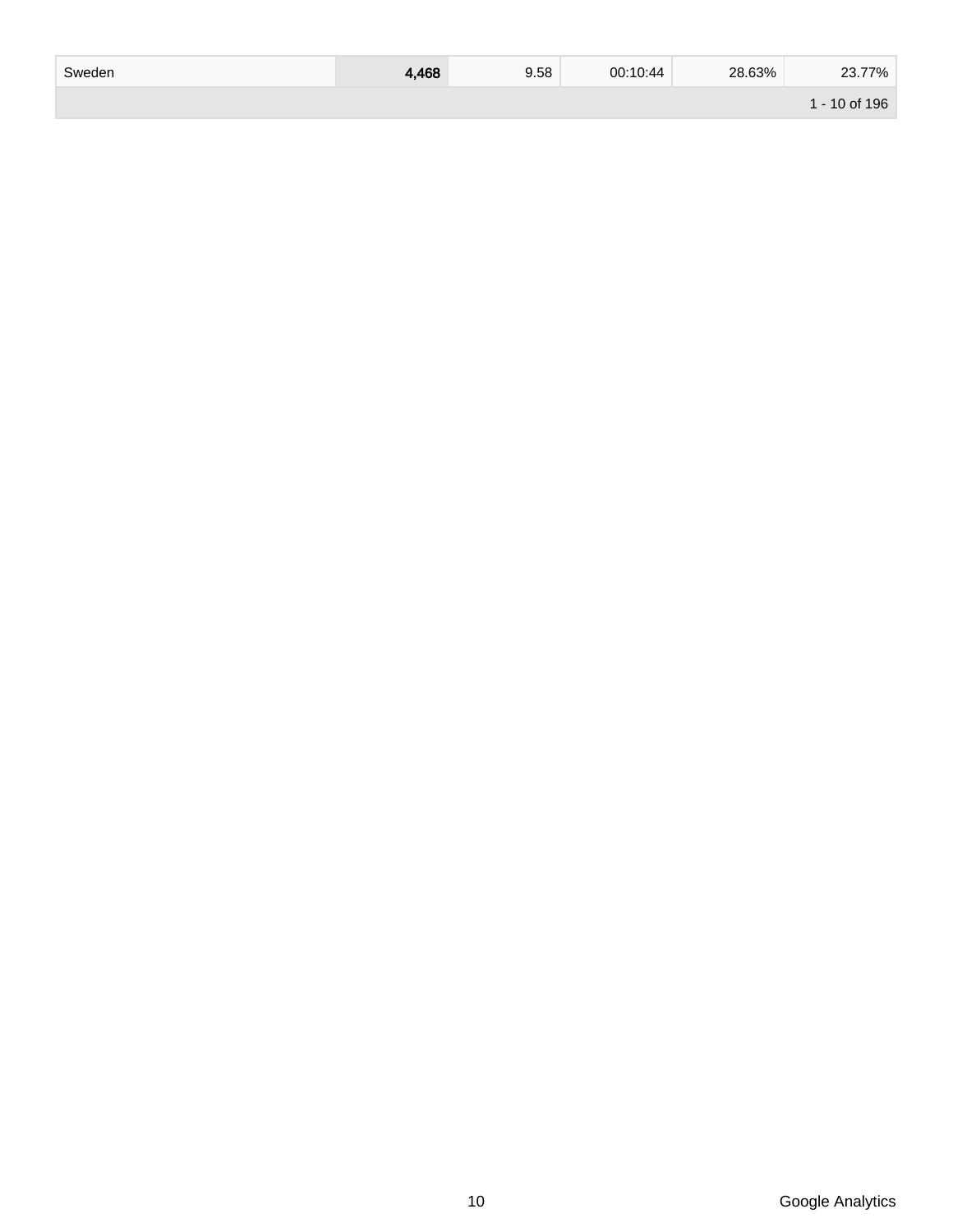| Sweden | 4,468 | 9.58 | 00:10:44 | 28.63% | 23.77%        |
|--------|-------|------|----------|--------|---------------|
|        |       |      |          |        | 1 - 10 of 196 |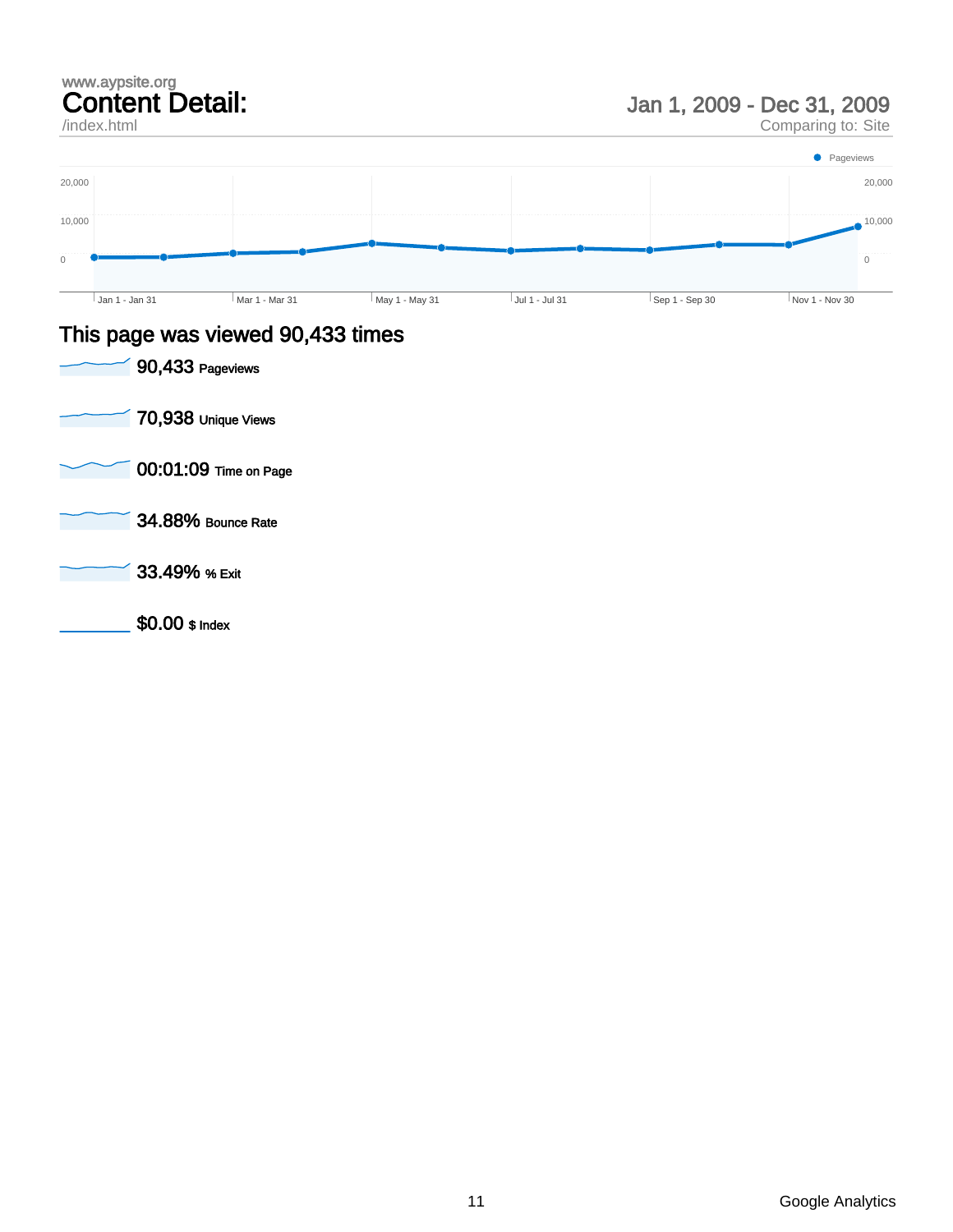## www.aypsite.org Content Detail:

/index.html

Jan 1, 2009 - Dec 31, 2009

Comparing to: Site



### This page was viewed 90,433 times

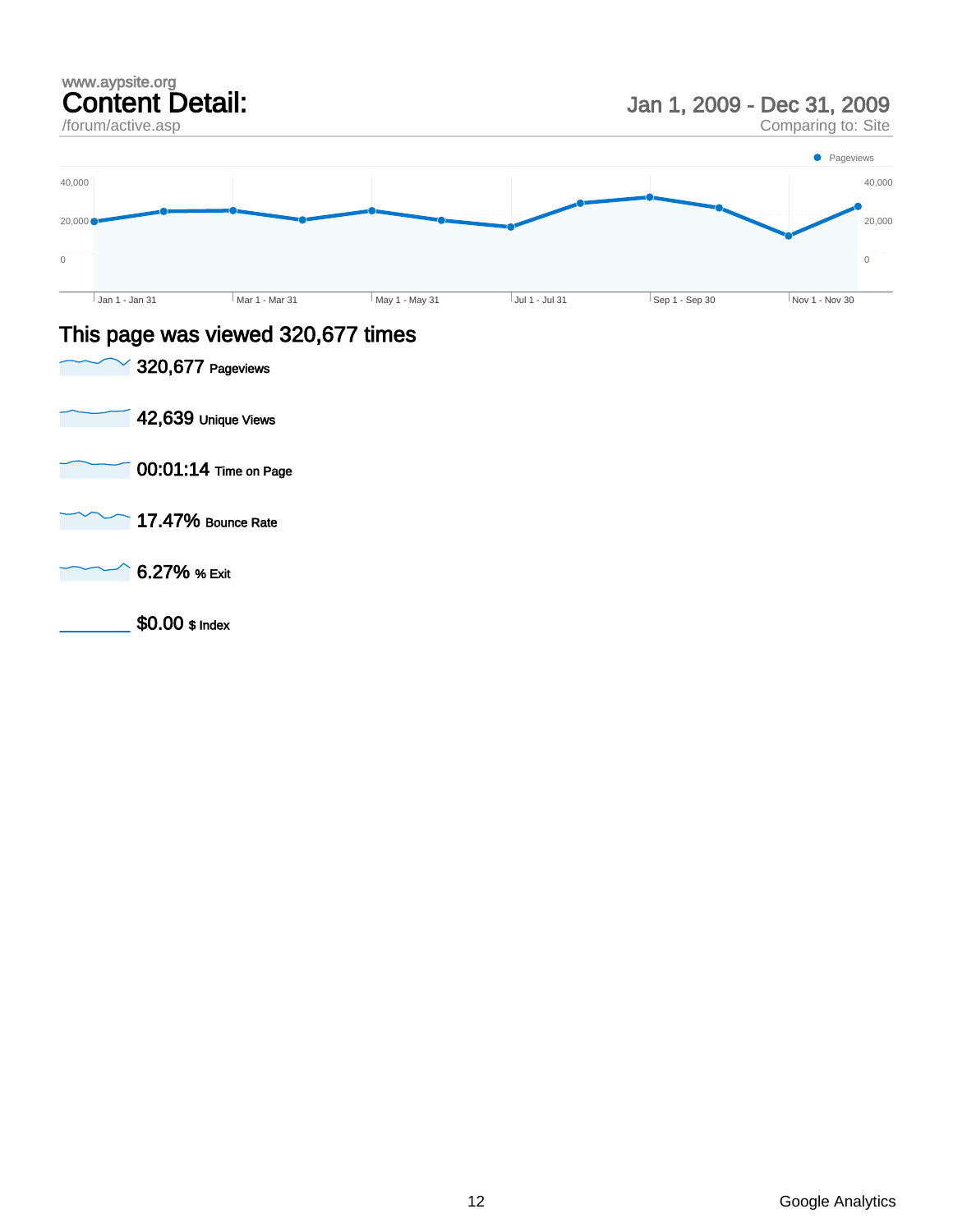### www.aypsite.org Content Detail:

/forum/active.asp

Jan 1, 2009 - Dec 31, 2009

Comparing to: Site



### This page was viewed 320,677 times